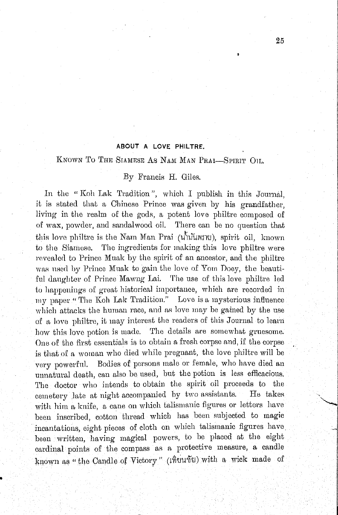## ABOUT A LOVE PHILTRE.

## KNOWN TO THE SIAMESE AS NAM MAN PRAI-SPIRIT OIL.

## By Francis H. Giles.

In the "Koh Lak Tradition", which I publish in this Journal, it is stated that a Chinese Prince was given by his grandfather. living in the realm of the gods, a potent love philtre composed of of wax, powder, and sandalwood oil. There can be no question that this love philtre is the Nam Man Prai (university), spirit oil, known to the Siamese. The ingredients for making this love philtre were revealed to Prince Muak by the spirit of an ancestor, and the philtre was used by Prince Muak to gain the love of Yom Doey, the beautiful daughter of Prince Mawng Lai. The use of this love philtre led to happenings of great historical importance, which are recorded in my paper "The Koh Lak Tradition." Love is a mysterious influence which attacks the human race, and as love may be gained by the use of a love philtre, it may interest the readers of this Journal to learn how this love potion is made. The details are somewhat gruesome. One of the first essentials is to obtain a fresh corpse and, if the corpse is that of a woman who died while pregnant, the love philtre will be very powerful. Bodies of persons male or female, who have died an unnatural death, can also be used, but the potion is less efficacious. The doctor who intends to obtain the spirit oil proceeds to the cemetery late at night accompanied by two assistants. He takes with him a knife, a cane on which talismanic figures or letters have been inscribed, cotton thread which has been subjected to magic incantations, eight pieces of cloth on which talismanic figures have been written, having magical powers, to be placed at the eight cardinal points of the compass as a protective measure, a candle known as "the Candle of Victory" (เทิยนขัย) with a wick made of

25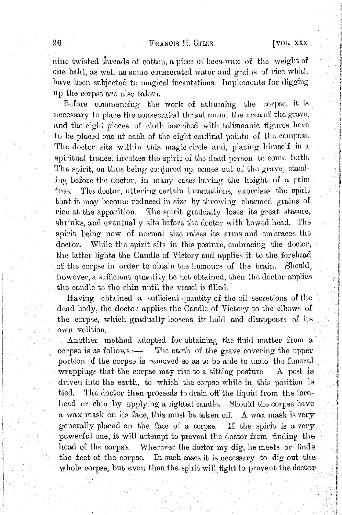## FRANCIS H. GILES

nine twisted threads of cotton, a piece of bees-wax of the weight of one baht, as well as some consecrated water and grains of rice which have been subjected to magical incantations. Implements for digging up the corpse are also taken.

Before commencing the work of exhuming the corpse, it is necessary to place the consecrated thread round the area of the grave, and the eight pieces of cloth inscribed with talismanic figures have to be placed one at each of the eight cardinal points of the compass. The doctor sits within this magic circle and, placing himself in a spiritual trance, invokes the spirit of the dead person to come forth. The spirit, on thus being conjured up, comes out of the grave, standing before the doctor, in many cases having the height of a palm The doctor, uttering certain incantations, exorcises the spirit  $_{\text{tree}}$ that it may become reduced in size by throwing charmed grains of rice at the apparition. The spirit gradually loses its great stature, shrinks, and eventually sits before the doctor with bowed head. The spirit being now of normal size raises its arms and embraces the doctor. While the spirit sits in this posture, embracing the doctor, the latter lights the Candle of Victory and applies it to the forehead of the corpse in order to obtain the humours of the brain. Should, however, a sufficient quantity be not obtained, then the doctor applies the candle to the chin until the vessel is filled.

Having obtained a sufficient quantity of the oil secretions of the dead body, the doctor applies the Candle of Victory to the elbows of the corpse, which gradually loosens, its hold and disappears of its own volition.

Another method adopted for obtaining the fluid matter from a corpse is as follows :- The earth of the grave covering the upper portion of the corpse is removed so as to be able to undo the funeral wrappings that the corpse may rise to a sitting posture. A post is driven into the earth, to which the corpse while in this position is tied. The doctor then proceeds to drain off the liquid from the forehead or chin by applying a lighted candle. Should the corpse have a wax mask on its face, this must be taken off. A wax mask is very generally placed on the face of a corpse. If the spirit is a very powerful one, it will attempt to prevent the doctor from finding the head of the corpse. Wherever the doctor my dig, he meets or finds the feet of the corpse. In such cases it is necessary to dig out the whole corpse, but even then the spirit will fight to prevent the doctor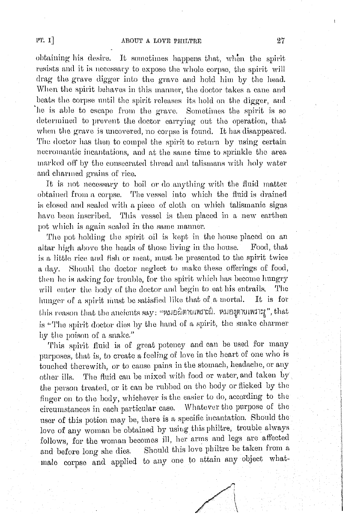obtaining his desire. It sometimes happens that, when the spirit resists and it is necessary to expose the whole corpse, the spirit will drag the grave digger into the grave and hold him by the head. When the spirit behaves in this manner, the doctor takes a cane and beats the corpse until the spirit releases its hold on the digger, and he is able to escape from the grave. Sometimes the spirit is so determined to prevent the doctor carrying out the operation, that when the grave is uncovered, no corpse is found. It has disappeared. The doctor has then to compel the spirit to return by using certain necromantic incantations, and at the same time to sprinkle the area marked off by the consecrated thread and talismans with holy water and charmed grains of rice.

It is not necessary to boil or do anything with the fluid matter obtained from a corpse. The vessel into which the fluid is drained is closed and sealed with a piece of cloth on which talismanic signs have been inscribed. This vessel is then placed in a new earthen pot which is again sealed in the same manner.

The pot holding the spirit oil is kept in the house placed on an altar high above the heads of those living in the house. Food, that is a little rice and fish or meat, must be presented to the spirit twice a day. Should the doctor neglect to make these offerings of food, then he is asking for trouble, for the spirit which has become hungry will enter the body of the doctor and begin to eat his entrails. The hunger of a spirit must be satisfied like that of a mortal. It is for this reason that the ancients  $\mathrm{say}\colon$  "หมอผิตายเพราะฝี, หมอมูตายเพราะงู", that is "The spirit doctor dies by the hand of a spirit, the snake charmer by the poison of a snake."

This spirit fluid is of great potency and can be used for many purposes, that is, to create a feeling of love in the heart of one who is touched therewith, or to cause pains in the stomach, headache, or any other ills. The fluid can be mixed with food or water, and taken by the person treated, or it can be rubbed on the body or flicked by the finger on to the body, whichever is the easier to do, according to the circumstances in each particular case. Whatever the purpose of the user of this potion may be, there is a specific incantation. Should the love of any woman be obtained by using this philtre, trouble always follows, for the woman becomes ill, her arms and legs are affected and before long she dies. Should this love philtre be taken from a male corpse and applied to any one to attain any object what